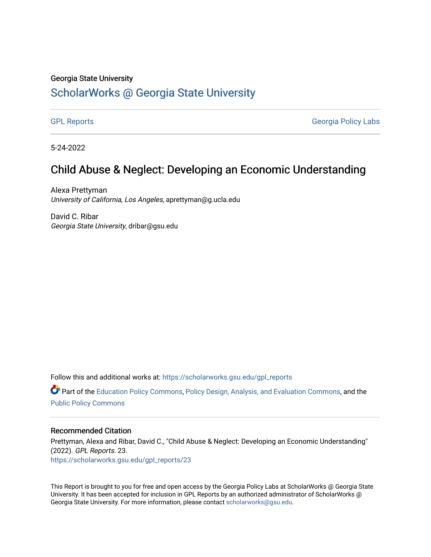#### Georgia State University

#### [ScholarWorks @ Georgia State University](https://scholarworks.gsu.edu/)

[GPL Reports](https://scholarworks.gsu.edu/gpl_reports) **GPL Reports** Georgia Policy Labs

5-24-2022

#### Child Abuse & Neglect: Developing an Economic Understanding

Alexa Prettyman University of California, Los Angeles, aprettyman@g.ucla.edu

David C. Ribar Georgia State University, dribar@gsu.edu

Follow this and additional works at: [https://scholarworks.gsu.edu/gpl\\_reports](https://scholarworks.gsu.edu/gpl_reports?utm_source=scholarworks.gsu.edu%2Fgpl_reports%2F23&utm_medium=PDF&utm_campaign=PDFCoverPages)

**C** Part of the [Education Policy Commons](https://network.bepress.com/hgg/discipline/1026?utm_source=scholarworks.gsu.edu%2Fgpl_reports%2F23&utm_medium=PDF&utm_campaign=PDFCoverPages), [Policy Design, Analysis, and Evaluation Commons,](https://network.bepress.com/hgg/discipline/1032?utm_source=scholarworks.gsu.edu%2Fgpl_reports%2F23&utm_medium=PDF&utm_campaign=PDFCoverPages) and the [Public Policy Commons](https://network.bepress.com/hgg/discipline/400?utm_source=scholarworks.gsu.edu%2Fgpl_reports%2F23&utm_medium=PDF&utm_campaign=PDFCoverPages)

#### Recommended Citation

Prettyman, Alexa and Ribar, David C., "Child Abuse & Neglect: Developing an Economic Understanding" (2022). GPL Reports. 23. [https://scholarworks.gsu.edu/gpl\\_reports/23](https://scholarworks.gsu.edu/gpl_reports/23?utm_source=scholarworks.gsu.edu%2Fgpl_reports%2F23&utm_medium=PDF&utm_campaign=PDFCoverPages) 

This Report is brought to you for free and open access by the Georgia Policy Labs at ScholarWorks @ Georgia State University. It has been accepted for inclusion in GPL Reports by an authorized administrator of ScholarWorks @ Georgia State University. For more information, please contact [scholarworks@gsu.edu](mailto:scholarworks@gsu.edu).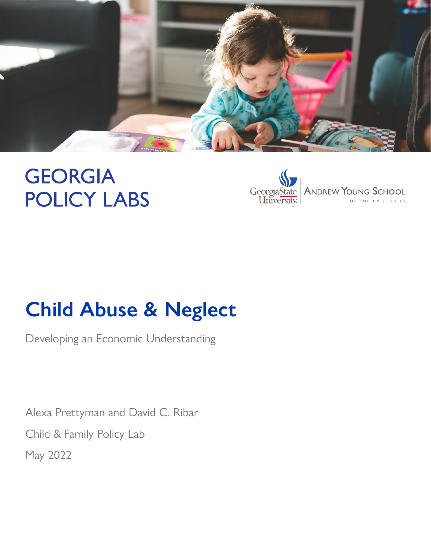

# **GEORGIA POLICY LABS**



# **Child Abuse & Neglect**

Developing an Economic Understanding

Alexa Prettyman and David C. Ribar Child & Family Policy Lab May 2022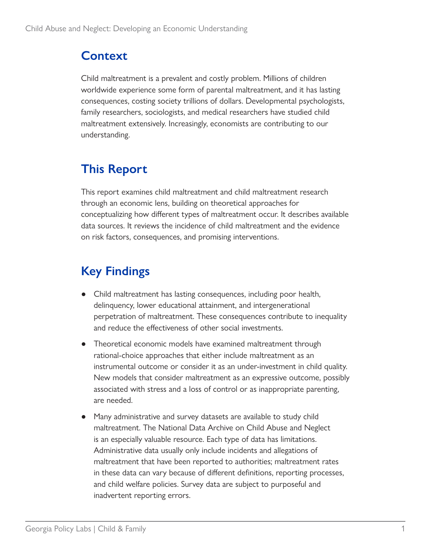### **Context**

Child maltreatment is a prevalent and costly problem. Millions of children worldwide experience some form of parental maltreatment, and it has lasting consequences, costing society trillions of dollars. Developmental psychologists, family researchers, sociologists, and medical researchers have studied child maltreatment extensively. Increasingly, economists are contributing to our understanding.

## **This Report**

This report examines child maltreatment and child maltreatment research through an economic lens, building on theoretical approaches for conceptualizing how different types of maltreatment occur. It describes available data sources. It reviews the incidence of child maltreatment and the evidence on risk factors, consequences, and promising interventions.

## **Key Findings**

- Child maltreatment has lasting consequences, including poor health, delinquency, lower educational attainment, and intergenerational perpetration of maltreatment. These consequences contribute to inequality and reduce the effectiveness of other social investments.
- Theoretical economic models have examined maltreatment through rational-choice approaches that either include maltreatment as an instrumental outcome or consider it as an under-investment in child quality. New models that consider maltreatment as an expressive outcome, possibly associated with stress and a loss of control or as inappropriate parenting, are needed.
- Many administrative and survey datasets are available to study child maltreatment. The National Data Archive on Child Abuse and Neglect is an especially valuable resource. Each type of data has limitations. Administrative data usually only include incidents and allegations of maltreatment that have been reported to authorities; maltreatment rates in these data can vary because of different definitions, reporting processes, and child welfare policies. Survey data are subject to purposeful and inadvertent reporting errors.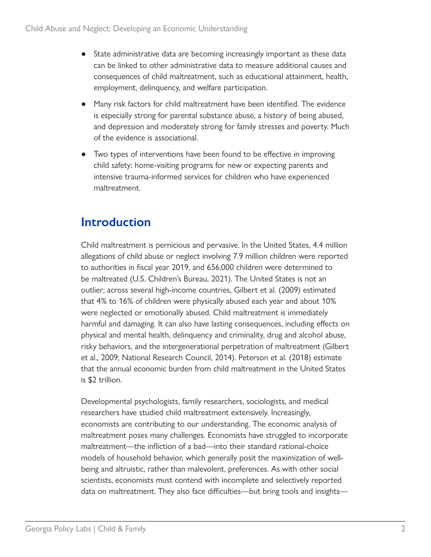- State administrative data are becoming increasingly important as these data can be linked to other administrative data to measure additional causes and consequences of child maltreatment, such as educational attainment, health, employment, delinquency, and welfare participation.
- Many risk factors for child maltreatment have been identified. The evidence is especially strong for parental substance abuse, a history of being abused, and depression and moderately strong for family stresses and poverty. Much of the evidence is associational.
- Two types of interventions have been found to be effective in improving child safety: home-visiting programs for new or expecting parents and intensive trauma-informed services for children who have experienced maltreatment.

#### **Introduction**

Child maltreatment is pernicious and pervasive. In the United States, 4.4 million allegations of child abuse or neglect involving 7.9 million children were reported to authorities in fiscal year 2019, and 656,000 children were determined to be maltreated (U.S. Children's Bureau, 2021). The United States is not an outlier; across several high-income countries, Gilbert et al. (2009) estimated that 4% to 16% of children were physically abused each year and about 10% were neglected or emotionally abused. Child maltreatment is immediately harmful and damaging. It can also have lasting consequences, including effects on physical and mental health, delinquency and criminality, drug and alcohol abuse, risky behaviors, and the intergenerational perpetration of maltreatment (Gilbert et al., 2009; National Research Council, 2014). Peterson et al. (2018) estimate that the annual economic burden from child maltreatment in the United States is \$2 trillion.

Developmental psychologists, family researchers, sociologists, and medical researchers have studied child maltreatment extensively. Increasingly, economists are contributing to our understanding. The economic analysis of maltreatment poses many challenges. Economists have struggled to incorporate maltreatment—the infliction of a bad—into their standard rational-choice models of household behavior, which generally posit the maximization of wellbeing and altruistic, rather than malevolent, preferences. As with other social scientists, economists must contend with incomplete and selectively reported data on maltreatment. They also face difficulties—but bring tools and insights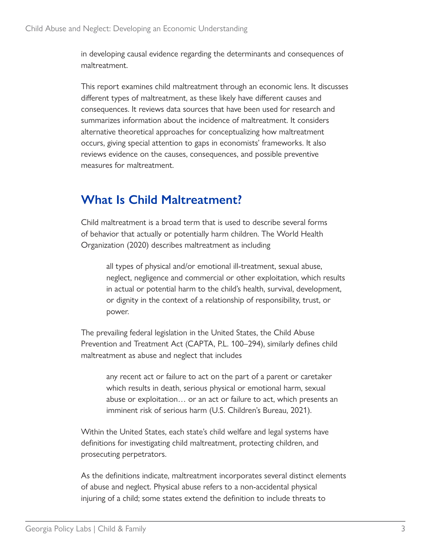in developing causal evidence regarding the determinants and consequences of maltreatment.

This report examines child maltreatment through an economic lens. It discusses different types of maltreatment, as these likely have different causes and consequences. It reviews data sources that have been used for research and summarizes information about the incidence of maltreatment. It considers alternative theoretical approaches for conceptualizing how maltreatment occurs, giving special attention to gaps in economists' frameworks. It also reviews evidence on the causes, consequences, and possible preventive measures for maltreatment.

### **What Is Child Maltreatment?**

Child maltreatment is a broad term that is used to describe several forms of behavior that actually or potentially harm children. The World Health Organization (2020) describes maltreatment as including

> all types of physical and/or emotional ill-treatment, sexual abuse, neglect, negligence and commercial or other exploitation, which results in actual or potential harm to the child's health, survival, development, or dignity in the context of a relationship of responsibility, trust, or power.

The prevailing federal legislation in the United States, the Child Abuse Prevention and Treatment Act (CAPTA, P.L. 100–294), similarly defines child maltreatment as abuse and neglect that includes

any recent act or failure to act on the part of a parent or caretaker which results in death, serious physical or emotional harm, sexual abuse or exploitation… or an act or failure to act, which presents an imminent risk of serious harm (U.S. Children's Bureau, 2021).

Within the United States, each state's child welfare and legal systems have definitions for investigating child maltreatment, protecting children, and prosecuting perpetrators.

As the definitions indicate, maltreatment incorporates several distinct elements of abuse and neglect. Physical abuse refers to a non-accidental physical injuring of a child; some states extend the definition to include threats to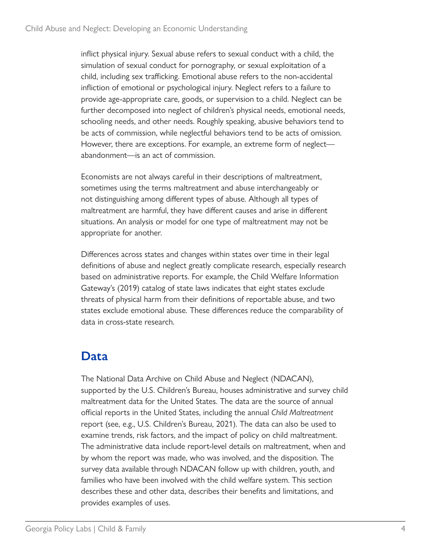inflict physical injury. Sexual abuse refers to sexual conduct with a child, the simulation of sexual conduct for pornography, or sexual exploitation of a child, including sex trafficking. Emotional abuse refers to the non-accidental infliction of emotional or psychological injury. Neglect refers to a failure to provide age-appropriate care, goods, or supervision to a child. Neglect can be further decomposed into neglect of children's physical needs, emotional needs, schooling needs, and other needs. Roughly speaking, abusive behaviors tend to be acts of commission, while neglectful behaviors tend to be acts of omission. However, there are exceptions. For example, an extreme form of neglectabandonment—is an act of commission.

Economists are not always careful in their descriptions of maltreatment, sometimes using the terms maltreatment and abuse interchangeably or not distinguishing among different types of abuse. Although all types of maltreatment are harmful, they have different causes and arise in different situations. An analysis or model for one type of maltreatment may not be appropriate for another.

Differences across states and changes within states over time in their legal definitions of abuse and neglect greatly complicate research, especially research based on administrative reports. For example, the Child Welfare Information Gateway's (2019) catalog of state laws indicates that eight states exclude threats of physical harm from their definitions of reportable abuse, and two states exclude emotional abuse. These differences reduce the comparability of data in cross-state research.

### **Data**

The National Data Archive on Child Abuse and Neglect (NDACAN), supported by the U.S. Children's Bureau, houses administrative and survey child maltreatment data for the United States. The data are the source of annual official reports in the United States, including the annual *Child Maltreatment* report (see, e.g., U.S. Children's Bureau, 2021). The data can also be used to examine trends, risk factors, and the impact of policy on child maltreatment. The administrative data include report-level details on maltreatment, when and by whom the report was made, who was involved, and the disposition. The survey data available through NDACAN follow up with children, youth, and families who have been involved with the child welfare system. This section describes these and other data, describes their benefits and limitations, and provides examples of uses.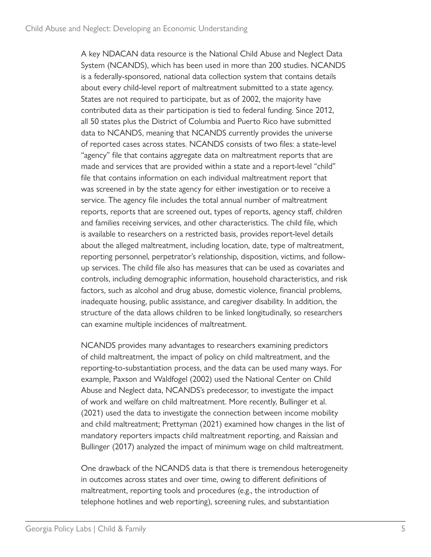A key NDACAN data resource is the National Child Abuse and Neglect Data System (NCANDS), which has been used in more than 200 studies. NCANDS is a federally-sponsored, national data collection system that contains details about every child-level report of maltreatment submitted to a state agency. States are not required to participate, but as of 2002, the majority have contributed data as their participation is tied to federal funding. Since 2012, all 50 states plus the District of Columbia and Puerto Rico have submitted data to NCANDS, meaning that NCANDS currently provides the universe of reported cases across states. NCANDS consists of two files: a state-level "agency" file that contains aggregate data on maltreatment reports that are made and services that are provided within a state and a report-level "child" file that contains information on each individual maltreatment report that was screened in by the state agency for either investigation or to receive a service. The agency file includes the total annual number of maltreatment reports, reports that are screened out, types of reports, agency staff, children and families receiving services, and other characteristics. The child file, which is available to researchers on a restricted basis, provides report-level details about the alleged maltreatment, including location, date, type of maltreatment, reporting personnel, perpetrator's relationship, disposition, victims, and followup services. The child file also has measures that can be used as covariates and controls, including demographic information, household characteristics, and risk factors, such as alcohol and drug abuse, domestic violence, financial problems, inadequate housing, public assistance, and caregiver disability. In addition, the structure of the data allows children to be linked longitudinally, so researchers can examine multiple incidences of maltreatment.

NCANDS provides many advantages to researchers examining predictors of child maltreatment, the impact of policy on child maltreatment, and the reporting-to-substantiation process, and the data can be used many ways. For example, Paxson and Waldfogel (2002) used the National Center on Child Abuse and Neglect data, NCANDS's predecessor, to investigate the impact of work and welfare on child maltreatment. More recently, Bullinger et al. (2021) used the data to investigate the connection between income mobility and child maltreatment; Prettyman (2021) examined how changes in the list of mandatory reporters impacts child maltreatment reporting, and Raissian and Bullinger (2017) analyzed the impact of minimum wage on child maltreatment.

One drawback of the NCANDS data is that there is tremendous heterogeneity in outcomes across states and over time, owing to different definitions of maltreatment, reporting tools and procedures (e.g., the introduction of telephone hotlines and web reporting), screening rules, and substantiation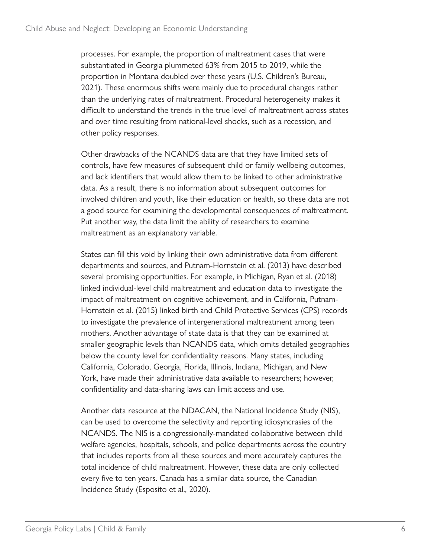processes. For example, the proportion of maltreatment cases that were substantiated in Georgia plummeted 63% from 2015 to 2019, while the proportion in Montana doubled over these years (U.S. Children's Bureau, 2021). These enormous shifts were mainly due to procedural changes rather than the underlying rates of maltreatment. Procedural heterogeneity makes it difficult to understand the trends in the true level of maltreatment across states and over time resulting from national-level shocks, such as a recession, and other policy responses.

Other drawbacks of the NCANDS data are that they have limited sets of controls, have few measures of subsequent child or family wellbeing outcomes, and lack identifiers that would allow them to be linked to other administrative data. As a result, there is no information about subsequent outcomes for involved children and youth, like their education or health, so these data are not a good source for examining the developmental consequences of maltreatment. Put another way, the data limit the ability of researchers to examine maltreatment as an explanatory variable.

States can fill this void by linking their own administrative data from different departments and sources, and Putnam-Hornstein et al. (2013) have described several promising opportunities. For example, in Michigan, Ryan et al. (2018) linked individual-level child maltreatment and education data to investigate the impact of maltreatment on cognitive achievement, and in California, Putnam-Hornstein et al. (2015) linked birth and Child Protective Services (CPS) records to investigate the prevalence of intergenerational maltreatment among teen mothers. Another advantage of state data is that they can be examined at smaller geographic levels than NCANDS data, which omits detailed geographies below the county level for confidentiality reasons. Many states, including California, Colorado, Georgia, Florida, Illinois, Indiana, Michigan, and New York, have made their administrative data available to researchers; however, confidentiality and data-sharing laws can limit access and use.

Another data resource at the NDACAN, the National Incidence Study (NIS), can be used to overcome the selectivity and reporting idiosyncrasies of the NCANDS. The NIS is a congressionally-mandated collaborative between child welfare agencies, hospitals, schools, and police departments across the country that includes reports from all these sources and more accurately captures the total incidence of child maltreatment. However, these data are only collected every five to ten years. Canada has a similar data source, the Canadian Incidence Study (Esposito et al., 2020).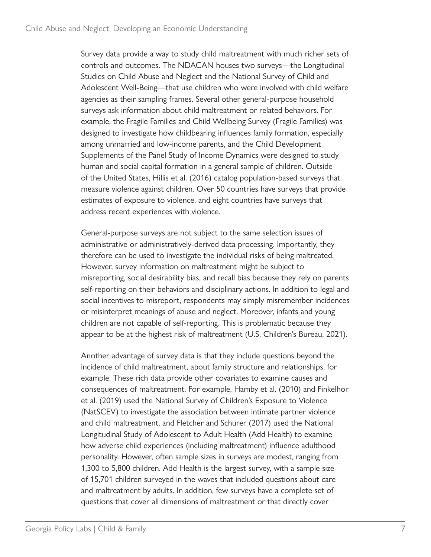Survey data provide a way to study child maltreatment with much richer sets of controls and outcomes. The NDACAN houses two surveys—the Longitudinal Studies on Child Abuse and Neglect and the National Survey of Child and Adolescent Well-Being—that use children who were involved with child welfare agencies as their sampling frames. Several other general-purpose household surveys ask information about child maltreatment or related behaviors. For example, the Fragile Families and Child Wellbeing Survey (Fragile Families) was designed to investigate how childbearing influences family formation, especially among unmarried and low-income parents, and the Child Development Supplements of the Panel Study of Income Dynamics were designed to study human and social capital formation in a general sample of children. Outside of the United States, Hillis et al. (2016) catalog population-based surveys that measure violence against children. Over 50 countries have surveys that provide estimates of exposure to violence, and eight countries have surveys that address recent experiences with violence.

General-purpose surveys are not subject to the same selection issues of administrative or administratively-derived data processing. Importantly, they therefore can be used to investigate the individual risks of being maltreated. However, survey information on maltreatment might be subject to misreporting, social desirability bias, and recall bias because they rely on parents self-reporting on their behaviors and disciplinary actions. In addition to legal and social incentives to misreport, respondents may simply misremember incidences or misinterpret meanings of abuse and neglect. Moreover, infants and young children are not capable of self-reporting. This is problematic because they appear to be at the highest risk of maltreatment (U.S. Children's Bureau, 2021).

Another advantage of survey data is that they include questions beyond the incidence of child maltreatment, about family structure and relationships, for example. These rich data provide other covariates to examine causes and consequences of maltreatment. For example, Hamby et al. (2010) and Finkelhor et al. (2019) used the National Survey of Children's Exposure to Violence (NatSCEV) to investigate the association between intimate partner violence and child maltreatment, and Fletcher and Schurer (2017) used the National Longitudinal Study of Adolescent to Adult Health (Add Health) to examine how adverse child experiences (including maltreatment) influence adulthood personality. However, often sample sizes in surveys are modest, ranging from 1,300 to 5,800 children. Add Health is the largest survey, with a sample size of 15,701 children surveyed in the waves that included questions about care and maltreatment by adults. In addition, few surveys have a complete set of questions that cover all dimensions of maltreatment or that directly cover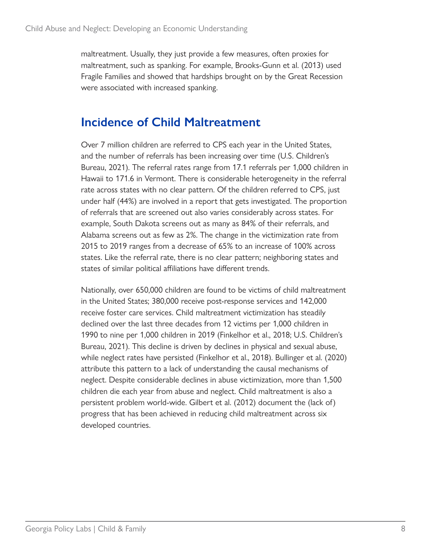maltreatment. Usually, they just provide a few measures, often proxies for maltreatment, such as spanking. For example, Brooks-Gunn et al. (2013) used Fragile Families and showed that hardships brought on by the Great Recession were associated with increased spanking.

#### **Incidence of Child Maltreatment**

Over 7 million children are referred to CPS each year in the United States, and the number of referrals has been increasing over time (U.S. Children's Bureau, 2021). The referral rates range from 17.1 referrals per 1,000 children in Hawaii to 171.6 in Vermont. There is considerable heterogeneity in the referral rate across states with no clear pattern. Of the children referred to CPS, just under half (44%) are involved in a report that gets investigated. The proportion of referrals that are screened out also varies considerably across states. For example, South Dakota screens out as many as 84% of their referrals, and Alabama screens out as few as 2%. The change in the victimization rate from 2015 to 2019 ranges from a decrease of 65% to an increase of 100% across states. Like the referral rate, there is no clear pattern; neighboring states and states of similar political affiliations have different trends.

Nationally, over 650,000 children are found to be victims of child maltreatment in the United States; 380,000 receive post-response services and 142,000 receive foster care services. Child maltreatment victimization has steadily declined over the last three decades from 12 victims per 1,000 children in 1990 to nine per 1,000 children in 2019 (Finkelhor et al., 2018; U.S. Children's Bureau, 2021). This decline is driven by declines in physical and sexual abuse, while neglect rates have persisted (Finkelhor et al., 2018). Bullinger et al. (2020) attribute this pattern to a lack of understanding the causal mechanisms of neglect. Despite considerable declines in abuse victimization, more than 1,500 children die each year from abuse and neglect. Child maltreatment is also a persistent problem world-wide. Gilbert et al. (2012) document the (lack of) progress that has been achieved in reducing child maltreatment across six developed countries.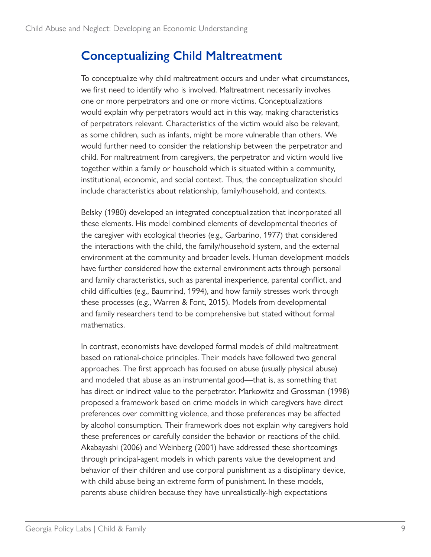#### **Conceptualizing Child Maltreatment**

To conceptualize why child maltreatment occurs and under what circumstances, we first need to identify who is involved. Maltreatment necessarily involves one or more perpetrators and one or more victims. Conceptualizations would explain why perpetrators would act in this way, making characteristics of perpetrators relevant. Characteristics of the victim would also be relevant, as some children, such as infants, might be more vulnerable than others. We would further need to consider the relationship between the perpetrator and child. For maltreatment from caregivers, the perpetrator and victim would live together within a family or household which is situated within a community, institutional, economic, and social context. Thus, the conceptualization should include characteristics about relationship, family/household, and contexts.

Belsky (1980) developed an integrated conceptualization that incorporated all these elements. His model combined elements of developmental theories of the caregiver with ecological theories (e.g., Garbarino, 1977) that considered the interactions with the child, the family/household system, and the external environment at the community and broader levels. Human development models have further considered how the external environment acts through personal and family characteristics, such as parental inexperience, parental conflict, and child difficulties (e.g., Baumrind, 1994), and how family stresses work through these processes (e.g., Warren & Font, 2015). Models from developmental and family researchers tend to be comprehensive but stated without formal mathematics.

In contrast, economists have developed formal models of child maltreatment based on rational-choice principles. Their models have followed two general approaches. The first approach has focused on abuse (usually physical abuse) and modeled that abuse as an instrumental good—that is, as something that has direct or indirect value to the perpetrator. Markowitz and Grossman (1998) proposed a framework based on crime models in which caregivers have direct preferences over committing violence, and those preferences may be affected by alcohol consumption. Their framework does not explain why caregivers hold these preferences or carefully consider the behavior or reactions of the child. Akabayashi (2006) and Weinberg (2001) have addressed these shortcomings through principal-agent models in which parents value the development and behavior of their children and use corporal punishment as a disciplinary device, with child abuse being an extreme form of punishment. In these models, parents abuse children because they have unrealistically-high expectations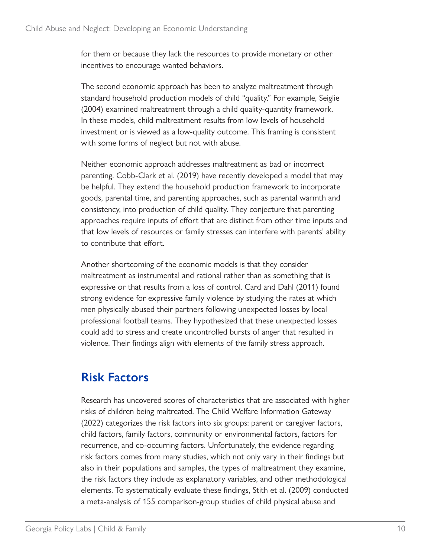for them or because they lack the resources to provide monetary or other incentives to encourage wanted behaviors.

The second economic approach has been to analyze maltreatment through standard household production models of child "quality." For example, Seiglie (2004) examined maltreatment through a child quality-quantity framework. In these models, child maltreatment results from low levels of household investment or is viewed as a low-quality outcome. This framing is consistent with some forms of neglect but not with abuse.

Neither economic approach addresses maltreatment as bad or incorrect parenting. Cobb-Clark et al. (2019) have recently developed a model that may be helpful. They extend the household production framework to incorporate goods, parental time, and parenting approaches, such as parental warmth and consistency, into production of child quality. They conjecture that parenting approaches require inputs of effort that are distinct from other time inputs and that low levels of resources or family stresses can interfere with parents' ability to contribute that effort.

Another shortcoming of the economic models is that they consider maltreatment as instrumental and rational rather than as something that is expressive or that results from a loss of control. Card and Dahl (2011) found strong evidence for expressive family violence by studying the rates at which men physically abused their partners following unexpected losses by local professional football teams. They hypothesized that these unexpected losses could add to stress and create uncontrolled bursts of anger that resulted in violence. Their findings align with elements of the family stress approach.

### **Risk Factors**

Research has uncovered scores of characteristics that are associated with higher risks of children being maltreated. The Child Welfare Information Gateway (2022) categorizes the risk factors into six groups: parent or caregiver factors, child factors, family factors, community or environmental factors, factors for recurrence, and co-occurring factors. Unfortunately, the evidence regarding risk factors comes from many studies, which not only vary in their findings but also in their populations and samples, the types of maltreatment they examine, the risk factors they include as explanatory variables, and other methodological elements. To systematically evaluate these findings, Stith et al. (2009) conducted a meta-analysis of 155 comparison-group studies of child physical abuse and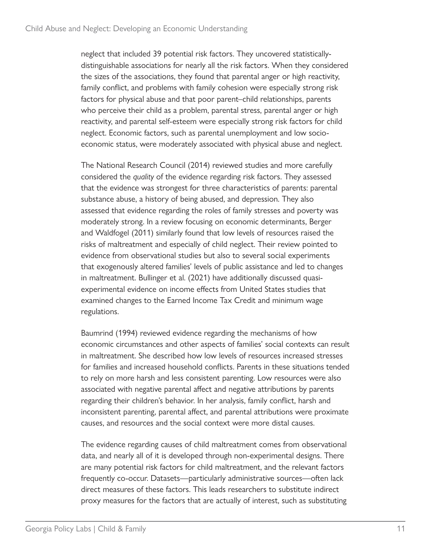neglect that included 39 potential risk factors. They uncovered statisticallydistinguishable associations for nearly all the risk factors. When they considered the sizes of the associations, they found that parental anger or high reactivity, family conflict, and problems with family cohesion were especially strong risk factors for physical abuse and that poor parent–child relationships, parents who perceive their child as a problem, parental stress, parental anger or high reactivity, and parental self-esteem were especially strong risk factors for child neglect. Economic factors, such as parental unemployment and low socioeconomic status, were moderately associated with physical abuse and neglect.

The National Research Council (2014) reviewed studies and more carefully considered the *quality* of the evidence regarding risk factors. They assessed that the evidence was strongest for three characteristics of parents: parental substance abuse, a history of being abused, and depression. They also assessed that evidence regarding the roles of family stresses and poverty was moderately strong. In a review focusing on economic determinants, Berger and Waldfogel (2011) similarly found that low levels of resources raised the risks of maltreatment and especially of child neglect. Their review pointed to evidence from observational studies but also to several social experiments that exogenously altered families' levels of public assistance and led to changes in maltreatment. Bullinger et al. (2021) have additionally discussed quasiexperimental evidence on income effects from United States studies that examined changes to the Earned Income Tax Credit and minimum wage regulations.

Baumrind (1994) reviewed evidence regarding the mechanisms of how economic circumstances and other aspects of families' social contexts can result in maltreatment. She described how low levels of resources increased stresses for families and increased household conflicts. Parents in these situations tended to rely on more harsh and less consistent parenting. Low resources were also associated with negative parental affect and negative attributions by parents regarding their children's behavior. In her analysis, family conflict, harsh and inconsistent parenting, parental affect, and parental attributions were proximate causes, and resources and the social context were more distal causes.

The evidence regarding causes of child maltreatment comes from observational data, and nearly all of it is developed through non-experimental designs. There are many potential risk factors for child maltreatment, and the relevant factors frequently co-occur. Datasets—particularly administrative sources—often lack direct measures of these factors. This leads researchers to substitute indirect proxy measures for the factors that are actually of interest, such as substituting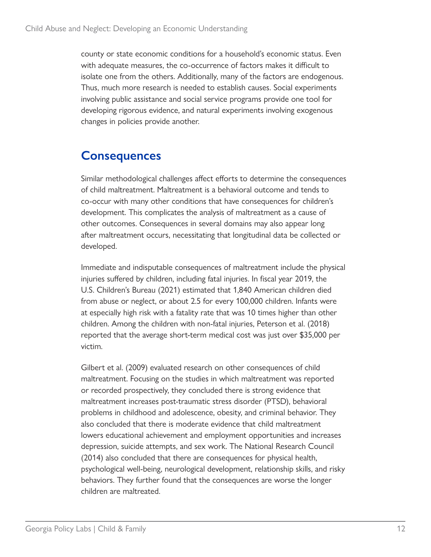county or state economic conditions for a household's economic status. Even with adequate measures, the co-occurrence of factors makes it difficult to isolate one from the others. Additionally, many of the factors are endogenous. Thus, much more research is needed to establish causes. Social experiments involving public assistance and social service programs provide one tool for developing rigorous evidence, and natural experiments involving exogenous changes in policies provide another.

### **Consequences**

Similar methodological challenges affect efforts to determine the consequences of child maltreatment. Maltreatment is a behavioral outcome and tends to co-occur with many other conditions that have consequences for children's development. This complicates the analysis of maltreatment as a cause of other outcomes. Consequences in several domains may also appear long after maltreatment occurs, necessitating that longitudinal data be collected or developed.

Immediate and indisputable consequences of maltreatment include the physical injuries suffered by children, including fatal injuries. In fiscal year 2019, the U.S. Children's Bureau (2021) estimated that 1,840 American children died from abuse or neglect, or about 2.5 for every 100,000 children. Infants were at especially high risk with a fatality rate that was 10 times higher than other children. Among the children with non-fatal injuries, Peterson et al. (2018) reported that the average short-term medical cost was just over \$35,000 per victim.

Gilbert et al. (2009) evaluated research on other consequences of child maltreatment. Focusing on the studies in which maltreatment was reported or recorded prospectively, they concluded there is strong evidence that maltreatment increases post-traumatic stress disorder (PTSD), behavioral problems in childhood and adolescence, obesity, and criminal behavior. They also concluded that there is moderate evidence that child maltreatment lowers educational achievement and employment opportunities and increases depression, suicide attempts, and sex work. The National Research Council (2014) also concluded that there are consequences for physical health, psychological well-being, neurological development, relationship skills, and risky behaviors. They further found that the consequences are worse the longer children are maltreated.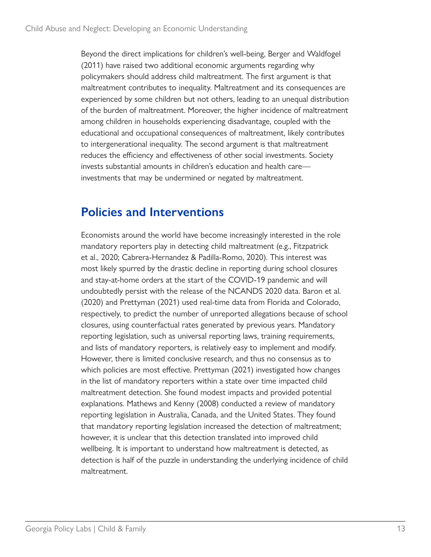Beyond the direct implications for children's well-being, Berger and Waldfogel (2011) have raised two additional economic arguments regarding why policymakers should address child maltreatment. The first argument is that maltreatment contributes to inequality. Maltreatment and its consequences are experienced by some children but not others, leading to an unequal distribution of the burden of maltreatment. Moreover, the higher incidence of maltreatment among children in households experiencing disadvantage, coupled with the educational and occupational consequences of maltreatment, likely contributes to intergenerational inequality. The second argument is that maltreatment reduces the efficiency and effectiveness of other social investments. Society invests substantial amounts in children's education and health care investments that may be undermined or negated by maltreatment.

#### **Policies and Interventions**

Economists around the world have become increasingly interested in the role mandatory reporters play in detecting child maltreatment (e.g., Fitzpatrick et al., 2020; Cabrera-Hernandez & Padilla-Romo, 2020). This interest was most likely spurred by the drastic decline in reporting during school closures and stay-at-home orders at the start of the COVID-19 pandemic and will undoubtedly persist with the release of the NCANDS 2020 data. Baron et al. (2020) and Prettyman (2021) used real-time data from Florida and Colorado, respectively, to predict the number of unreported allegations because of school closures, using counterfactual rates generated by previous years. Mandatory reporting legislation, such as universal reporting laws, training requirements, and lists of mandatory reporters, is relatively easy to implement and modify. However, there is limited conclusive research, and thus no consensus as to which policies are most effective. Prettyman (2021) investigated how changes in the list of mandatory reporters within a state over time impacted child maltreatment detection. She found modest impacts and provided potential explanations. Mathews and Kenny (2008) conducted a review of mandatory reporting legislation in Australia, Canada, and the United States. They found that mandatory reporting legislation increased the detection of maltreatment; however, it is unclear that this detection translated into improved child wellbeing. It is important to understand how maltreatment is detected, as detection is half of the puzzle in understanding the underlying incidence of child maltreatment.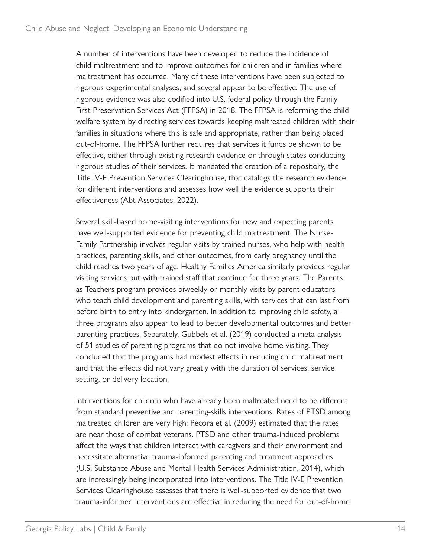A number of interventions have been developed to reduce the incidence of child maltreatment and to improve outcomes for children and in families where maltreatment has occurred. Many of these interventions have been subjected to rigorous experimental analyses, and several appear to be effective. The use of rigorous evidence was also codified into U.S. federal policy through the Family First Preservation Services Act (FFPSA) in 2018. The FFPSA is reforming the child welfare system by directing services towards keeping maltreated children with their families in situations where this is safe and appropriate, rather than being placed out-of-home. The FFPSA further requires that services it funds be shown to be effective, either through existing research evidence or through states conducting rigorous studies of their services. It mandated the creation of a repository, the Title IV-E Prevention Services Clearinghouse, that catalogs the research evidence for different interventions and assesses how well the evidence supports their effectiveness (Abt Associates, 2022).

Several skill-based home-visiting interventions for new and expecting parents have well-supported evidence for preventing child maltreatment. The Nurse-Family Partnership involves regular visits by trained nurses, who help with health practices, parenting skills, and other outcomes, from early pregnancy until the child reaches two years of age. Healthy Families America similarly provides regular visiting services but with trained staff that continue for three years. The Parents as Teachers program provides biweekly or monthly visits by parent educators who teach child development and parenting skills, with services that can last from before birth to entry into kindergarten. In addition to improving child safety, all three programs also appear to lead to better developmental outcomes and better parenting practices. Separately, Gubbels et al. (2019) conducted a meta-analysis of 51 studies of parenting programs that do not involve home-visiting. They concluded that the programs had modest effects in reducing child maltreatment and that the effects did not vary greatly with the duration of services, service setting, or delivery location.

Interventions for children who have already been maltreated need to be different from standard preventive and parenting-skills interventions. Rates of PTSD among maltreated children are very high: Pecora et al. (2009) estimated that the rates are near those of combat veterans. PTSD and other trauma-induced problems affect the ways that children interact with caregivers and their environment and necessitate alternative trauma-informed parenting and treatment approaches (U.S. Substance Abuse and Mental Health Services Administration, 2014), which are increasingly being incorporated into interventions. The Title IV-E Prevention Services Clearinghouse assesses that there is well-supported evidence that two trauma-informed interventions are effective in reducing the need for out-of-home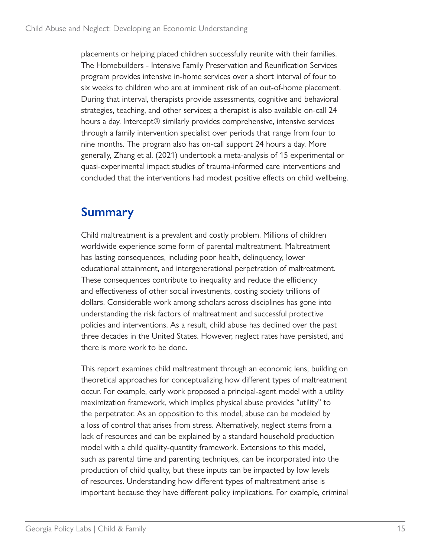placements or helping placed children successfully reunite with their families. The Homebuilders - Intensive Family Preservation and Reunification Services program provides intensive in-home services over a short interval of four to six weeks to children who are at imminent risk of an out-of-home placement. During that interval, therapists provide assessments, cognitive and behavioral strategies, teaching, and other services; a therapist is also available on-call 24 hours a day. Intercept<sup>®</sup> similarly provides comprehensive, intensive services through a family intervention specialist over periods that range from four to nine months. The program also has on-call support 24 hours a day. More generally, Zhang et al. (2021) undertook a meta-analysis of 15 experimental or quasi-experimental impact studies of trauma-informed care interventions and concluded that the interventions had modest positive effects on child wellbeing.

#### **Summary**

Child maltreatment is a prevalent and costly problem. Millions of children worldwide experience some form of parental maltreatment. Maltreatment has lasting consequences, including poor health, delinquency, lower educational attainment, and intergenerational perpetration of maltreatment. These consequences contribute to inequality and reduce the efficiency and effectiveness of other social investments, costing society trillions of dollars. Considerable work among scholars across disciplines has gone into understanding the risk factors of maltreatment and successful protective policies and interventions. As a result, child abuse has declined over the past three decades in the United States. However, neglect rates have persisted, and there is more work to be done.

This report examines child maltreatment through an economic lens, building on theoretical approaches for conceptualizing how different types of maltreatment occur. For example, early work proposed a principal-agent model with a utility maximization framework, which implies physical abuse provides "utility" to the perpetrator. As an opposition to this model, abuse can be modeled by a loss of control that arises from stress. Alternatively, neglect stems from a lack of resources and can be explained by a standard household production model with a child quality-quantity framework. Extensions to this model, such as parental time and parenting techniques, can be incorporated into the production of child quality, but these inputs can be impacted by low levels of resources. Understanding how different types of maltreatment arise is important because they have different policy implications. For example, criminal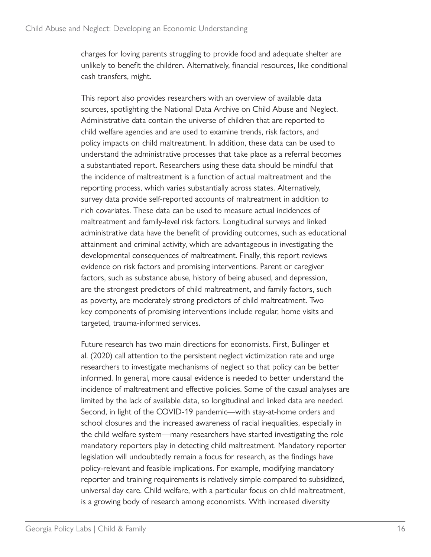charges for loving parents struggling to provide food and adequate shelter are unlikely to benefit the children. Alternatively, financial resources, like conditional cash transfers, might.

This report also provides researchers with an overview of available data sources, spotlighting the National Data Archive on Child Abuse and Neglect. Administrative data contain the universe of children that are reported to child welfare agencies and are used to examine trends, risk factors, and policy impacts on child maltreatment. In addition, these data can be used to understand the administrative processes that take place as a referral becomes a substantiated report. Researchers using these data should be mindful that the incidence of maltreatment is a function of actual maltreatment and the reporting process, which varies substantially across states. Alternatively, survey data provide self-reported accounts of maltreatment in addition to rich covariates. These data can be used to measure actual incidences of maltreatment and family-level risk factors. Longitudinal surveys and linked administrative data have the benefit of providing outcomes, such as educational attainment and criminal activity, which are advantageous in investigating the developmental consequences of maltreatment. Finally, this report reviews evidence on risk factors and promising interventions. Parent or caregiver factors, such as substance abuse, history of being abused, and depression, are the strongest predictors of child maltreatment, and family factors, such as poverty, are moderately strong predictors of child maltreatment. Two key components of promising interventions include regular, home visits and targeted, trauma-informed services.

Future research has two main directions for economists. First, Bullinger et al. (2020) call attention to the persistent neglect victimization rate and urge researchers to investigate mechanisms of neglect so that policy can be better informed. In general, more causal evidence is needed to better understand the incidence of maltreatment and effective policies. Some of the casual analyses are limited by the lack of available data, so longitudinal and linked data are needed. Second, in light of the COVID-19 pandemic—with stay-at-home orders and school closures and the increased awareness of racial inequalities, especially in the child welfare system—many researchers have started investigating the role mandatory reporters play in detecting child maltreatment. Mandatory reporter legislation will undoubtedly remain a focus for research, as the findings have policy-relevant and feasible implications. For example, modifying mandatory reporter and training requirements is relatively simple compared to subsidized, universal day care. Child welfare, with a particular focus on child maltreatment, is a growing body of research among economists. With increased diversity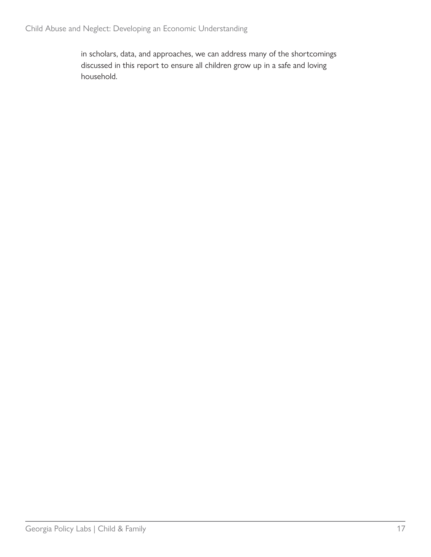in scholars, data, and approaches, we can address many of the shortcomings discussed in this report to ensure all children grow up in a safe and loving household.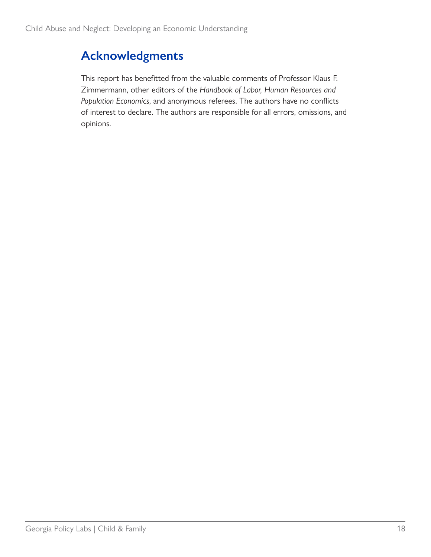## **Acknowledgments**

This report has benefitted from the valuable comments of Professor Klaus F. Zimmermann, other editors of the *Handbook of Labor, Human Resources and Population Economics*, and anonymous referees. The authors have no conflicts of interest to declare. The authors are responsible for all errors, omissions, and opinions.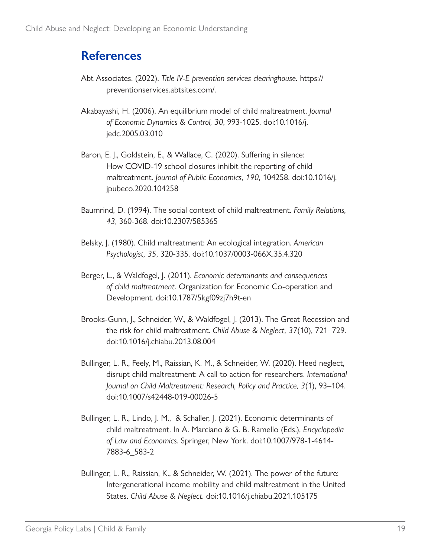### **References**

- Abt Associates. (2022). *Title IV-E prevention services clearinghouse.* [https://](https://preventionservices.abtsites.com/) [preventionservices.abtsites.com/.](https://preventionservices.abtsites.com/)
- Akabayashi, H. (2006). An equilibrium model of child maltreatment. *Journal of Economic Dynamics & Control, 30*, 993-1025. doi:10.1016/j. jedc.2005.03.010
- Baron, E. J., Goldstein, E., & Wallace, C. (2020). Suffering in silence: How COVID-19 school closures inhibit the reporting of child maltreatment. *Journal of Public Economics, 190*, 104258. doi:10.1016/j. jpubeco.2020.104258
- Baumrind, D. (1994). The social context of child maltreatment. *Family Relations, 43*, 360-368. doi:10.2307/585365
- Belsky, J. (1980). Child maltreatment: An ecological integration. *American Psychologist, 35*, 320-335. doi:10.1037/0003-066X.35.4.320
- Berger, L., & Waldfogel, J. (2011). *Economic determinants and consequences of child maltreatment.* Organization for Economic Co-operation and Development. doi:10.1787/5kgf09zj7h9t-en
- Brooks-Gunn, J., Schneider, W., & Waldfogel, J. (2013). The Great Recession and the risk for child maltreatment. *Child Abuse & Neglect, 37*(10), 721–729. doi:10.1016/j.chiabu.2013.08.004
- Bullinger, L. R., Feely, M., Raissian, K. M., & Schneider, W. (2020). Heed neglect, disrupt child maltreatment: A call to action for researchers. *International Journal on Child Maltreatment: Research, Policy and Practice, 3*(1), 93–104. doi:10.1007/s42448-019-00026-5
- Bullinger, L. R., Lindo, J. M., & Schaller, J. (2021). Economic determinants of child maltreatment. In A. Marciano & G. B. Ramello (Eds.), *Encyclopedia of Law and Economics*. Springer, New York. doi:10.1007/978-1-4614- 7883-6\_583-2
- Bullinger, L. R., Raissian, K., & Schneider, W. (2021). The power of the future: Intergenerational income mobility and child maltreatment in the United States. *Child Abuse & Neglect*. doi:10.1016/j.chiabu.2021.105175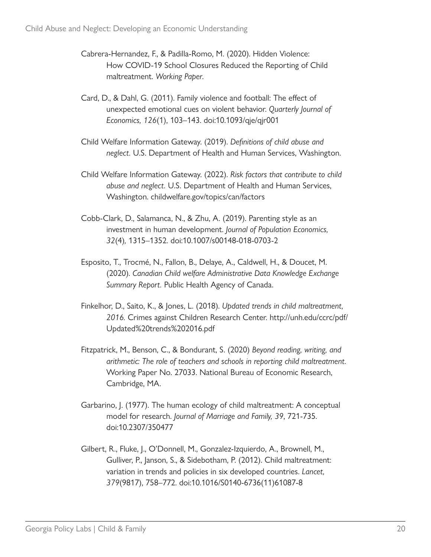- Cabrera-Hernandez, F., & Padilla-Romo, M. (2020). Hidden Violence: How COVID-19 School Closures Reduced the Reporting of Child maltreatment. *Working Paper*.
- Card, D., & Dahl, G. (2011). Family violence and football: The effect of unexpected emotional cues on violent behavior. *Quarterly Journal of Economics, 126*(1), 103–143. doi:10.1093/qje/qjr001
- Child Welfare Information Gateway. (2019). *Definitions of child abuse and neglect.* U.S. Department of Health and Human Services, Washington.
- Child Welfare Information Gateway. (2022). *Risk factors that contribute to child abuse and neglect.* U.S. Department of Health and Human Services, Washington. [childwelfare.gov/topics/can/factors](https://www.childwelfare.gov/topics/can/factors/)
- Cobb-Clark, D., Salamanca, N., & Zhu, A. (2019). Parenting style as an investment in human development. *Journal of Population Economics, 32*(4)*,* 1315–1352. doi:10.1007/s00148-018-0703-2
- Esposito, T., Trocmé, N., Fallon, B., Delaye, A., Caldwell, H., & Doucet, M. (2020). *Canadian Child welfare Administrative Data Knowledge Exchange Summary Report.* Public Health Agency of Canada.
- Finkelhor, D., Saito, K., & Jones, L. (2018). *Updated trends in child maltreatment, 2016.* Crimes against Children Research Center. [http://unh.edu/ccrc/pdf/](http://unh.edu/ccrc/pdf/Updated%20trends%202016.pdf) [Updated%20trends%202016.pdf](http://unh.edu/ccrc/pdf/Updated%20trends%202016.pdf)
- Fitzpatrick, M., Benson, C., & Bondurant, S. (2020) *Beyond reading, writing, and arithmetic: The role of teachers and schools in reporting child maltreatment.* Working Paper No. 27033. National Bureau of Economic Research, Cambridge, MA.
- Garbarino, J. (1977). The human ecology of child maltreatment: A conceptual model for research. *Journal of Marriage and Family, 39*, 721-735. doi:10.2307/350477
- Gilbert, R., Fluke, J., O'Donnell, M., Gonzalez-Izquierdo, A., Brownell, M., Gulliver, P., Janson, S., & Sidebotham, P. (2012). Child maltreatment: variation in trends and policies in six developed countries. *Lancet, 379*(9817), 758–772. doi:10.1016/S0140-6736(11)61087-8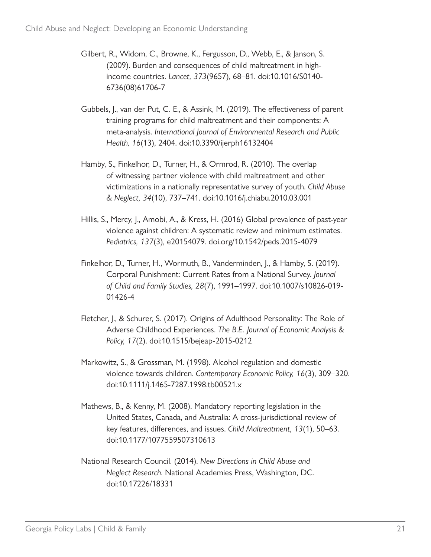- Gilbert, R., Widom, C., Browne, K., Fergusson, D., Webb, E., & Janson, S. (2009). Burden and consequences of child maltreatment in highincome countries. *Lancet, 373*(9657), 68–81. doi:10.1016/S0140- 6736(08)61706-7
- Gubbels, J., van der Put, C. E., & Assink, M. (2019). The effectiveness of parent training programs for child maltreatment and their components: A meta-analysis. *International Journal of Environmental Research and Public Health, 16*(13), 2404. doi:10.3390/ijerph16132404
- Hamby, S., Finkelhor, D., Turner, H., & Ormrod, R. (2010). The overlap of witnessing partner violence with child maltreatment and other victimizations in a nationally representative survey of youth. *Child Abuse & Neglect, 34*(10), 737–741. doi:10.1016/j.chiabu.2010.03.001
- Hillis, S., Mercy, J., Amobi, A., & Kress, H. (2016) Global prevalence of past-year violence against children: A systematic review and minimum estimates. *Pediatrics, 137*(3), e20154079. doi.org/10.1542/peds.2015-4079
- Finkelhor, D., Turner, H., Wormuth, B., Vanderminden, J., & Hamby, S. (2019). Corporal Punishment: Current Rates from a National Survey. *Journal of Child and Family Studies, 28*(7), 1991–1997. doi:10.1007/s10826-019- 01426-4
- Fletcher, J., & Schurer, S. (2017). Origins of Adulthood Personality: The Role of Adverse Childhood Experiences. *The B.E. Journal of Economic Analysis & Policy, 17*(2). doi:10.1515/bejeap-2015-0212
- Markowitz, S., & Grossman, M. (1998). Alcohol regulation and domestic violence towards children. *Contemporary Economic Policy, 16*(3), 309–320. doi:10.1111/j.1465-7287.1998.tb00521.x
- Mathews, B., & Kenny, M. (2008). Mandatory reporting legislation in the United States, Canada, and Australia: A cross-jurisdictional review of key features, differences, and issues. *Child Maltreatment, 13*(1), 50–63. doi:10.1177/1077559507310613
- National Research Council. (2014). *New Directions in Child Abuse and Neglect Research.* National Academies Press, Washington, DC. doi:10.17226/18331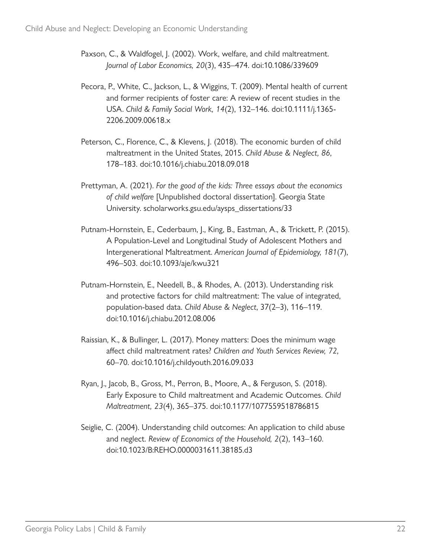- Paxson, C., & Waldfogel, J. (2002). Work, welfare, and child maltreatment. *Journal of Labor Economics, 20*(3), 435–474. doi:10.1086/339609
- Pecora, P., White, C., Jackson, L., & Wiggins, T. (2009). Mental health of current and former recipients of foster care: A review of recent studies in the USA. *Child & Family Social Work, 14*(2), 132–146. doi:10.1111/j.1365- 2206.2009.00618.x
- Peterson, C., Florence, C., & Klevens, J. (2018). The economic burden of child maltreatment in the United States, 2015. *Child Abuse & Neglect, 86*, 178–183. doi:10.1016/j.chiabu.2018.09.018
- Prettyman, A. (2021). *For the good of the kids: Three essays about the economics of child welfare* [Unpublished doctoral dissertation]. Georgia State University. [scholarworks.gsu.edu/aysps\\_dissertations/33](https://scholarworks.gsu.edu/aysps_dissertations/33)
- Putnam-Hornstein, E., Cederbaum, J., King, B., Eastman, A., & Trickett, P. (2015). A Population-Level and Longitudinal Study of Adolescent Mothers and Intergenerational Maltreatment. *American Journal of Epidemiology, 181*(7), 496–503. doi:10.1093/aje/kwu321
- Putnam-Hornstein, E., Needell, B., & Rhodes, A. (2013). Understanding risk and protective factors for child maltreatment: The value of integrated, population-based data. *Child Abuse & Neglect*, 37(2–3), 116–119. doi:10.1016/j.chiabu.2012.08.006
- Raissian, K., & Bullinger, L. (2017). Money matters: Does the minimum wage affect child maltreatment rates? *Children and Youth Services Review, 72*, 60–70. doi:10.1016/j.childyouth.2016.09.033
- Ryan, J., Jacob, B., Gross, M., Perron, B., Moore, A., & Ferguson, S. (2018). Early Exposure to Child maltreatment and Academic Outcomes. *Child Maltreatment, 23*(4), 365–375. doi:10.1177/1077559518786815
- Seiglie, C. (2004). Understanding child outcomes: An application to child abuse and neglect. *Review of Economics of the Household, 2*(2), 143–160. doi:10.1023/B:REHO.0000031611.38185.d3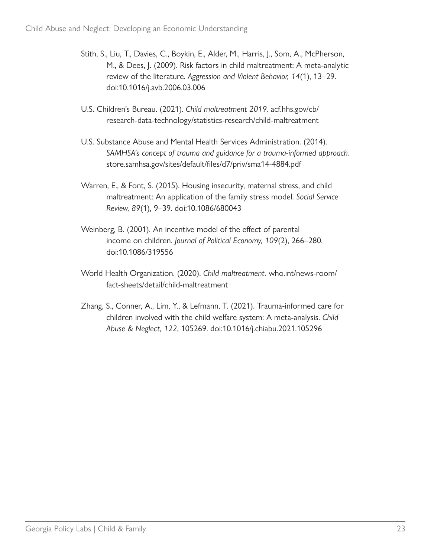- Stith, S., Liu, T., Davies, C., Boykin, E., Alder, M., Harris, J., Som, A., McPherson, M., & Dees, J. (2009). Risk factors in child maltreatment: A meta-analytic review of the literature. *Aggression and Violent Behavior, 14*(1), 13–29. doi:10.1016/j.avb.2006.03.006
- U.S. Children's Bureau. (2021). *Child maltreatment 2019.* [acf.hhs.gov/cb/](https://www.acf.hhs.gov/cb/research-data-technology/statistics-research/child-maltreatment) [research-data-technology/statistics-research/child-maltreatment](https://www.acf.hhs.gov/cb/research-data-technology/statistics-research/child-maltreatment)
- U.S. Substance Abuse and Mental Health Services Administration. (2014). *SAMHSA's concept of trauma and guidance for a trauma-informed approach.* store.samhsa.gov/sites/default/files/d7/priv/sma14-4884.pdf
- Warren, E., & Font, S. (2015). Housing insecurity, maternal stress, and child maltreatment: An application of the family stress model. *Social Service Review, 89*(1), 9–39. doi:10.1086/680043
- Weinberg, B. (2001). An incentive model of the effect of parental income on children. *Journal of Political Economy, 109*(2), 266–280. doi:10.1086/319556
- World Health Organization. (2020). *Child maltreatment.* [who.int/news-room/](https://www.who.int/news-room/fact-sheets/detail/child-maltreatment) [fact-sheets/detail/child-maltreatment](https://www.who.int/news-room/fact-sheets/detail/child-maltreatment)
- Zhang, S., Conner, A., Lim, Y., & Lefmann, T. (2021). Trauma-informed care for children involved with the child welfare system: A meta-analysis. *Child Abuse & Neglect, 122*, 105269. doi:10.1016/j.chiabu.2021.105296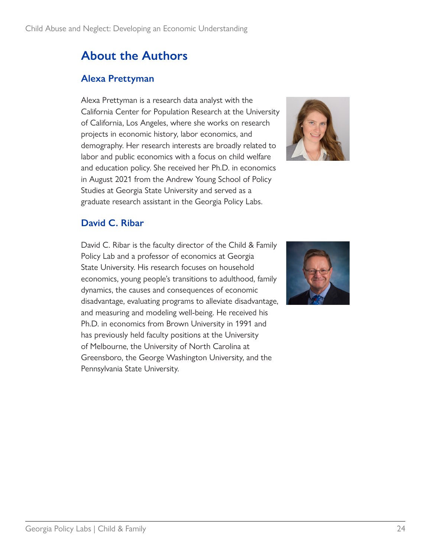## **About the Authors**

#### **Alexa Prettyman**

Alexa Prettyman is a research data analyst with the California Center for Population Research at the University of California, Los Angeles, where she works on research projects in economic history, labor economics, and demography. Her research interests are broadly related to labor and public economics with a focus on child welfare and education policy. She received her Ph.D. in economics in August 2021 from the Andrew Young School of Policy Studies at Georgia State University and served as a graduate research assistant in the Georgia Policy Labs.



#### **David C. Ribar**

David C. Ribar is the faculty director of the Child & Family Policy Lab and a professor of economics at Georgia State University. His research focuses on household economics, young people's transitions to adulthood, family dynamics, the causes and consequences of economic disadvantage, evaluating programs to alleviate disadvantage, and measuring and modeling well-being. He received his Ph.D. in economics from Brown University in 1991 and has previously held faculty positions at the University of Melbourne, the University of North Carolina at Greensboro, the George Washington University, and the Pennsylvania State University.